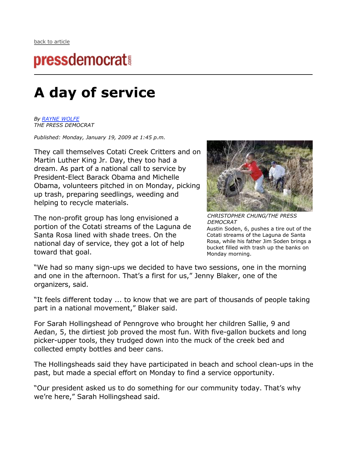## **pressdemocrat!**

## **A day of service**

*By RAYNE WOLFE THE PRESS DEMOCRAT*

*Published: Monday, January 19, 2009 at 1:45 p.m.*

They call themselves Cotati Creek Critters and on Martin Luther King Jr. Day, they too had a dream. As part of a national call to service by President-Elect Barack Obama and Michelle Obama, volunteers pitched in on Monday, picking up trash, preparing seedlings, weeding and helping to recycle materials.

The non-profit group has long envisioned a portion of the Cotati streams of the Laguna de Santa Rosa lined with shade trees. On the national day of service, they got a lot of help toward that goal.



*CHRISTOPHER CHUNG/THE PRESS DEMOCRAT*

Austin Soden, 6, pushes a tire out of the Cotati streams of the Laguna de Santa Rosa, while his father Jim Soden brings a bucket filled with trash up the banks on Monday morning.

"We had so many sign-ups we decided to have two sessions, one in the morning and one in the afternoon. That's a first for us," Jenny Blaker, one of the organizers, said.

"It feels different today ... to know that we are part of thousands of people taking part in a national movement," Blaker said.

For Sarah Hollingshead of Penngrove who brought her children Sallie, 9 and Aedan, 5, the dirtiest job proved the most fun. With five-gallon buckets and long picker-upper tools, they trudged down into the muck of the creek bed and collected empty bottles and beer cans.

The Hollingsheads said they have participated in beach and school clean-ups in the past, but made a special effort on Monday to find a service opportunity.

"Our president asked us to do something for our community today. That's why we're here," Sarah Hollingshead said.